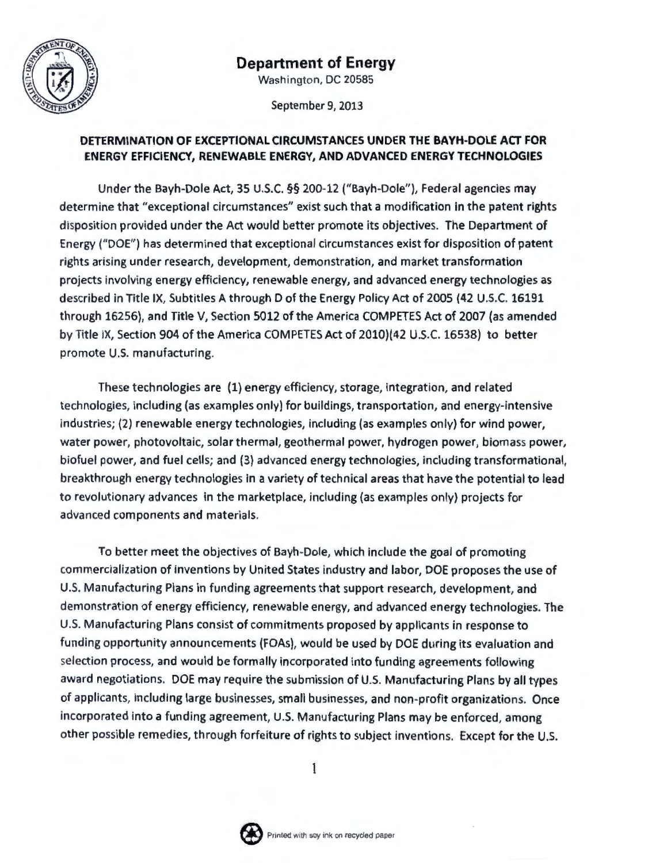

# **Department of Energy**

Washington, DC 20585

September 9, 2013

## **DETERMINATION OF EXCEPTIONAL CIRCUMSTANCES UNDER THE BAYH-DOLE ACT FOR ENERGY EFFICIENCY, RENEWABLE ENERGY, AND ADVANCED ENERGY TECHNOLOGIES**

Under the Bayh-Dole Act, 35 U.S.C. §§ 200-12 ("Bayh-Dole"), Federal agencies may determine that "exceptional circumstances" exist such that a modification in the patent rights disposition provided under the Act would better promote its objectives. The Department of Energy ("DOE") has determined that exceptional circumstances exist for disposition of patent rights arising under research, development, demonstration, and market transformation projects involving energy efficiency, renewable energy, and advanced energy technologies as described in Title IX, Subtitles A through D of the Energy Policy Act of 2005 (42 U.S.C. 16191 through 16256), and Title V, Section 5012 of the America COMPETES Act of 2007 (as amended by Title IX, Section 904 of the America COMPETES Act of 2010)(42 U.S.C. 16538) to better promote U.S. manufacturing.

These technologies are (1) energy efficiency, storage, integration, and related technologies, including (as examples only) for buildings, transportation, and energy-intensive industries; (2) renewable energy technologies, including (as examples only) for wind power, water power, photovoltaic, solar thermal, geothermal power, hydrogen power, biomass power, biofuel power, and fuel cells; and (3) advanced energy technologies, including transformational, breakthrough energy technologies in a variety of technical areas that have the potential to lead to revolutionary advances in the marketplace, including (as examples only) projects for advanced components and materials.

To better meet the objectives of Bayh-Dole, which include the goal of promoting commercialization of inventions by United States industry and labor, DOE proposes the use of U.S. Manufacturing Plans in funding agreements that support research, development, and demonstration of energy efficiency, renewable energy, and advanced energy technologies. The U.S. Manufacturing Plans consist of commitments proposed by applicants in response to funding opportunity announcements (FOAs), would be used by DOE during its evaluation and selection process, and would be formally incorporated into funding agreements following award negotiations. DOE may require the submission of U.S. Manufacturing Plans by all types of applicants, including large businesses, small businesses, and non-profit organizations. Once incorporated into a funding agreement, U.S. Manufacturing Plans may be enforced, among other possible remedies, through forfeiture of rights to subject inventions. Except for the U.S.

1

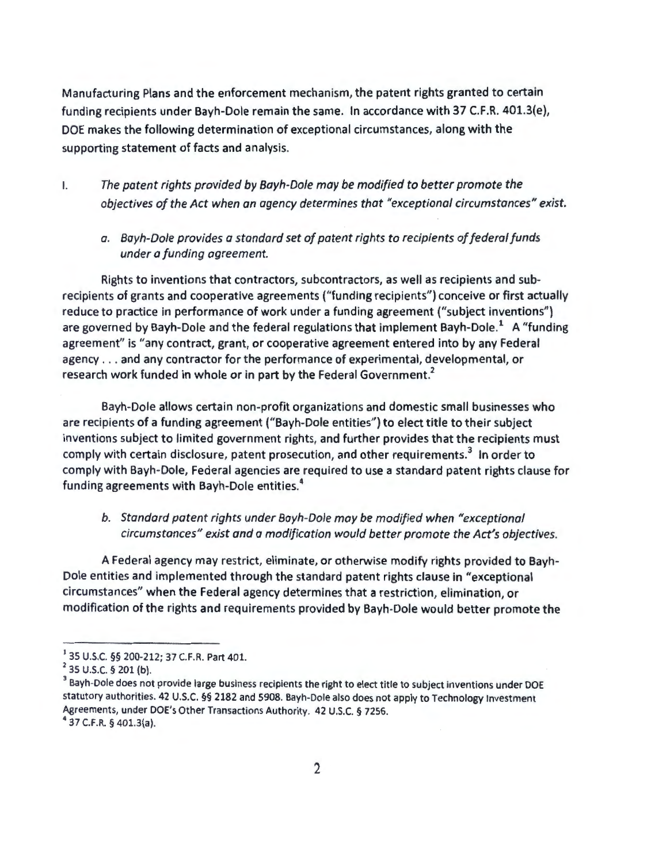Manufacturing Plans and the enforcement mechanism, the patent rights granted to certain funding recipients under Bayh-Dole remain the same. In accordance with 37 C.F.R. 401.3(e), DOE makes the following determination of exceptional circumstances, along with the supporting statement of facts and analysis.

- I. *The patent rights provided by Bayh-Dole may be modified to better promote the objectives of the Act when an agency determines that "exceptional circumstances" exist.* 
	- *a. Bayh-Dole provides a standard set of patent rights to recipients of federal funds under a funding agreement.*

Rights to inventions that contractors, subcontractors, as well as recipients and subrecipients of grants and cooperative agreements ("funding recipients") conceive or first actually reduce to practice in performance of work under a funding agreement ("subject inventions") are governed by Bayh-Dole and the federal regulations that implement Bayh-Dole.<sup>1</sup> A "funding agreement" is "any contract, grant, or cooperative agreement entered into by any Federal agency .. . and any contractor for the performance of experimental, developmental, or research work funded in whole or in part by the Federal Government.<sup>2</sup>

Bayh-Dole allows certain non-profjt organizations and domestic small businesses who are recipients of a funding agreement ("Bayh-Dole entities") to elect title to their subject inventions subject to limited government rights, and further provides that the recipients must comply with certain disclosure, patent prosecution, and other requirements.<sup>3</sup> In order to comply with Bayh-Dole, Federal agencies are required to use a standard patent rights clause for funding agreements with Bayh-Dole entities. 4

## *b. Standard patent rights under Bayh-Dole may be modified when "exceptional circumstances" exist and a modification would better promote the Act's objectives.*

A Federal agency may restrict, eliminate, or otherwise modify rights provided to Bayh-Dole entities and implemented through the standard patent rights clause in "exceptional circumstances" when the Federal agency determines that a restriction, elimination, or modification of the rights and requirements provided by Bayh-Dole would better promote the

<sup>&</sup>lt;sup>1</sup> 35 U.S.C. §§ 200-212; 37 C.F.R. Part 401.<br><sup>2</sup> 35 U.S.C. § 201 (b).<br><sup>3</sup> Bayh-Dole does not provide large business recipients the right to elect title to subject inventions under DOE statutory authorities. 42 U.S.C. *§§* 2182 and 5908. Bayh-Dole also does not apply to Technology Investment Agreements, under DOE's Other Transactions Authority. 42 U.S.C. § 7256. 4 37 C.F.R. *§* 401.3(a).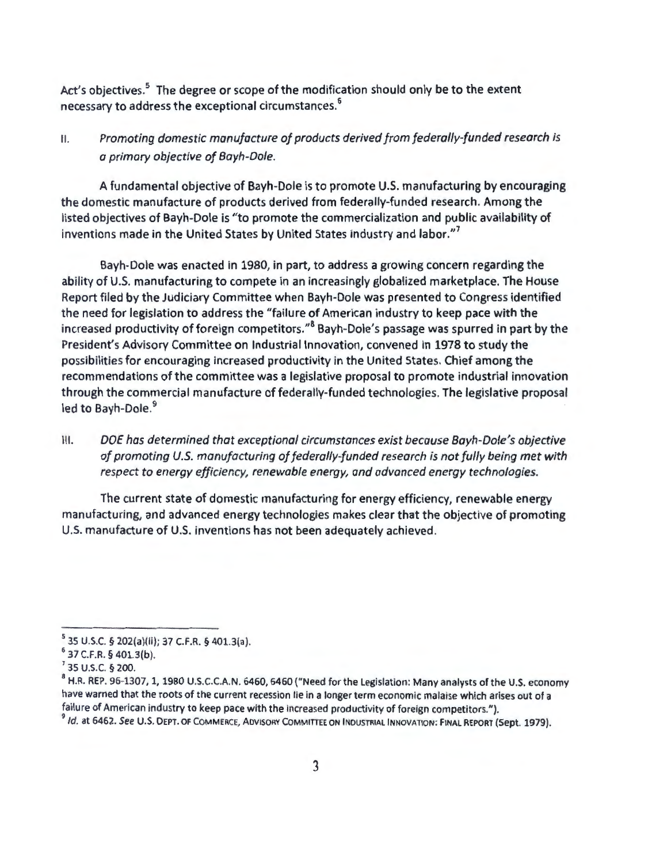Act's objectives.<sup>5</sup> The degree or scope of the modification should only be to the extent necessary to address the exceptional circumstances. <sup>6</sup>

## II. *Promoting domestic manufacture of products derived from federally-funded research is a primary objective of Bayh-Dole.*

A fundamental objective of Bayh-Dole is to promote U.S. manufacturing by encouraging the domestic manufacture of products derived from federally-funded research. Among the listed objectives of Bayh-Dole is "to promote the commercialization and public availability of inventions made in the United States by United States industry and labor."<sup>7</sup>

Bayh-Dole was enacted in 1980, in part, to address a growing concern regarding the ability of U.S. manufacturing to compete in an increasingly globalized marketplace. The House Report filed by the Judiciary Committee when Bayh-Dole was presented to Congress identified the need for legislation to address the "failure of American industry to keep pace with the increased productivity of foreign competitors."<sup>8</sup> Bayh-Dole's passage was spurred in part by the President's Advisory Committee on Industrial Innovation, convened in 1978 to study the possibilities for encouraging increased productivity in the United States. Chief among the recommendations of the committee was a legislative proposal to promote industrial innovation through the commercial manufacture of federally-funded technologies. The legislative proposal led to Bayh-Dole.<sup>9</sup>

III. DOE has determined that exceptional circumstances exist because Bayh-Dole's objective *of promoting U.S. manufacturing of federally-funded research is not fully being met with respect to energy efficiency, renewable energy, and advanced energy technologies.* 

The current state of domestic manufacturing for energy efficiency, renewable energy manufacturing, and advanced energy technologies makes clear that the objective of promoting U.S. manufacture of U.S. inventions has not been adequately achieved.

 $^5$  35 U.S.C. § 202(a)(ii); 37 C.F.R. § 401.3(a).<br> $^6$  37 C.F.R. § 401.3(b).

<sup>&</sup>lt;sup>7</sup> 35 U.S.C. § 200.<br><sup>8</sup> H.R. REP. 96-1307, 1, 1980 U.S.C.C.A.N. 6460, 6460 ("Need for the Legislation: Many analysts of the U.S. economy have warned that the roots of the current recession lie in a longer term economic malaise which arises out of a failure of American industry to keep pace with the increased productivity of foreign competitors.").<br><sup>9</sup>Id. at 6462. See U.S. DEPT. OF COMMERCE, ADVISORY COMMITTEE ON INDUSTRIAL INNOVATION: FINAL REPORT (Sept. 1979).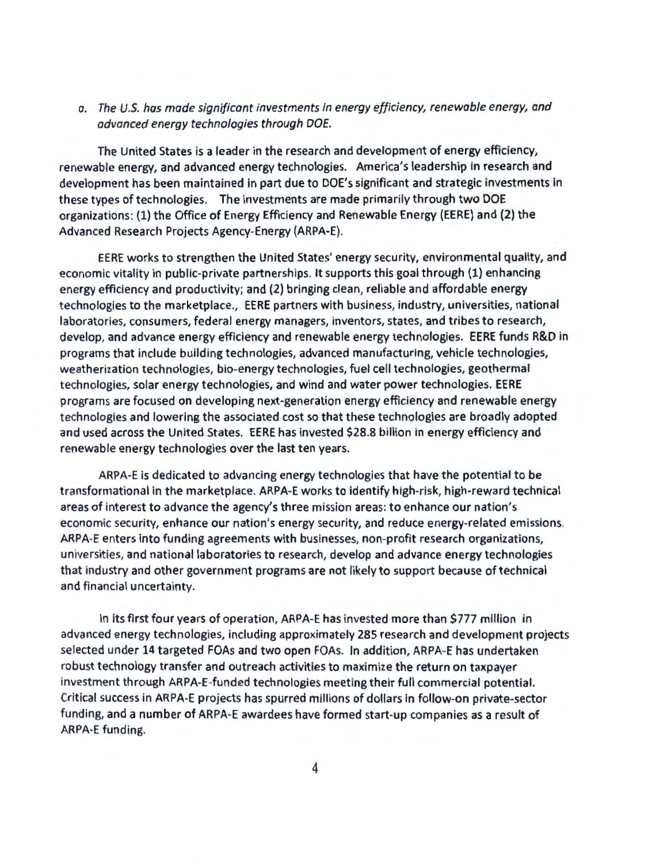a. The U.S. has made significant investments in energy efficiency, renewable energy, and advanced energy technologies through DOE.

The United States is a leader in the research and development of energy efficiency, renewable energy, and advanced energy technologies. America's leadership in research and development has been maintained in part due to DOE's significant and strategic investments in these types of technologies. The investments are made primarily through two DOE organizations: (1) the Office of Energy Efficiency and Renewable Energy (EERE) and (2) the Advanced Research Projects Agency-Energy (ARPA-E).

EERE works to strengthen the United States' energy security, environmental quality, and economic vitality in public-private partnerships. It supports this goal through (1) enhancing energy efficiency and productivity; and (2) bringing clean, reliable and affordable energy technologies to the marketplace., EERE partners with business, industry, universities, national laboratories, consumers, federal energy managers, inventors, states, and tribes to research, develop, and advance energy efficiency and renewable energy technologies. EERE funds R&D in programs that include building technologies, advanced manufacturing, vehicle technologies, weatherization technologies, bio-energy technologies, fuel cell technologies, geothermal technologies, solar energy technologies, and wind and water power technologies. EERE programs are focused on developing next-generation energy efficiency and renewable energy technologies and lowering the associated cost so that these technologies are broadly adopted and used across the United States. EERE has invested \$28.8 billion in energy efficiency and renewable energy technologies over the last ten years.

ARPA-E is dedicated to advancing energy technologies that have the potential to be transformational in the marketplace. ARPA-E works to identify high-risk, high-reward technical areas of interest to advance the agency's three mission areas: to enhance our nation's economic security, enhance our nation's energy security, and reduce energy-related emissions. ARPA-E enters into funding agreements with businesses, non-profit research organizations, universities, and national laboratories to research, develop and advance energy technologies that industry and other government programs are not likely to support because of technical and financial uncertainty.

In its first four years of operation, ARPA-E has invested more than \$777 million in advanced energy technologies, including approximately 285 research and development projects selected under 14 targeted FOAs and two open FOAs. In addition, ARPA-E has undertaken robust technology transfer and outreach activities to maximize the return on taxpayer investment through ARPA-E-funded technologies meeting their full commercial potential. Critical success in ARPA-E projects has spurred millions of dollars in follow-on private-sector funding, and a number of ARPA-E awardees have formed start-up companies as a result of ARPA-E funding.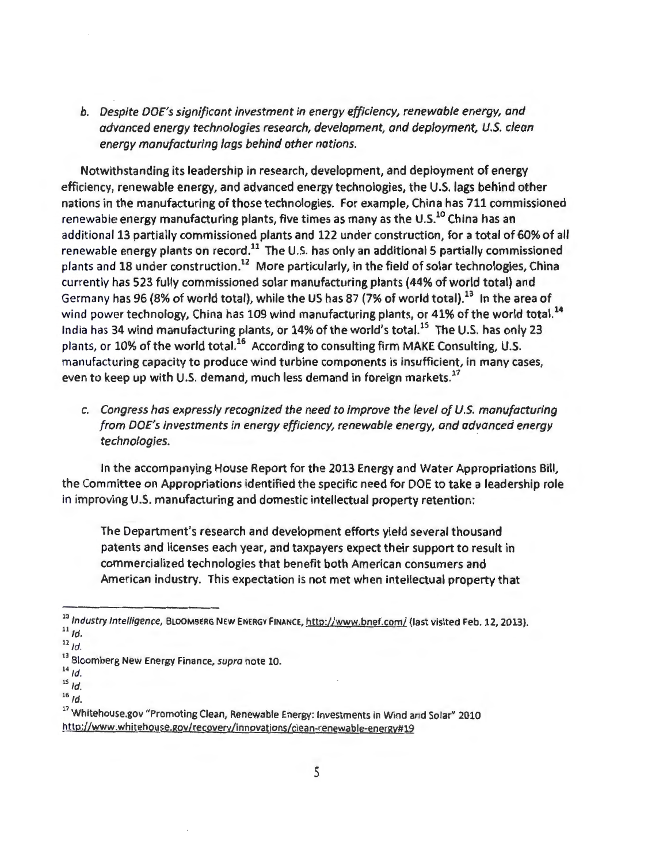*b. Despite DOE's significant investment in energy efficiency, renewable energy, and advanced energy technologies research, development, and deployment, U.S. clean energy manufacturing lags behind other nations.* 

Notwithstanding its leadership in research, development, and deployment of energy efficiency, renewable energy, and advanced energy technologies, the U.S. lags behind other nations in the manufacturing of those technologies. For example, China has 711 commissioned renewable energy manufacturing plants, five times as many as the U.S.<sup>10</sup> China has an additional 13 partially commissioned plants and 122 under construction, for a total of 60% of all renewable energy plants on record.<sup>11</sup> The U.S. has only an additional 5 partially commissioned plants and 18 under construction.<sup>12</sup> More particularly, in the field of solar technologies, China currently has 523 fully commissioned solar manufacturing plants (44% of world total) and Germany has 96 (8% of world total), while the US has 87 (7% of world total).<sup>13</sup> In the area of wind power technology, China has 109 wind manufacturing plants, or 41% of the world total.<sup>14</sup> India has 34 wind manufacturing plants, or 14% of the world's total.<sup>15</sup> The U.S. has only 23 plants, or 10% of the world total.<sup>16</sup> According to consulting firm MAKE Consulting, U.S. manufacturing capacity to produce wind turbine components is insufficient, in many cases, even to keep up with U.S. demand, much less demand in foreign markets.<sup>17</sup>

*c. Congress has expressly recognized the need to improve the level of U.S. manufacturing from DOE's investments in energy efficiency, renewable energy, and advanced energy technologies.* 

In the accompanying House Report for the 2013 Energy and Water Appropriations Bill, the Committee on Appropriations identified the specific need for DOE to take a leadership role in improving U.S. manufacturing and domestic intellectual property retention:

The Department's research and development efforts yield several thousand patents and licenses each year, and taxpayers expect their support to result in commercialized technologies that benefit both American consumers and American industry. This expectation is not met when intellectual property that

<sup>10</sup> Industry Intelligence, BLOOMBERG NEW ENERGY FINANCE, http://www.bnef.com/ (last visited Feb. 12, 2013).  $11/d.$ 

 $12$ <sub>Id.</sub>

<sup>&</sup>lt;sup>13</sup> Bloomberg New Energy Finance, supra note 10.

 $14$ <sub>Id.</sub>

 $15$  *Id.* 

 $16$  Id.

<sup>&</sup>lt;sup>17</sup> Whitehouse.gov "Promoting Clean, Renewable Energy: Investments in Wind and Solar" 2010 http://www.whitehouse.gov/recovery/innovations/clean-renewable-energy#19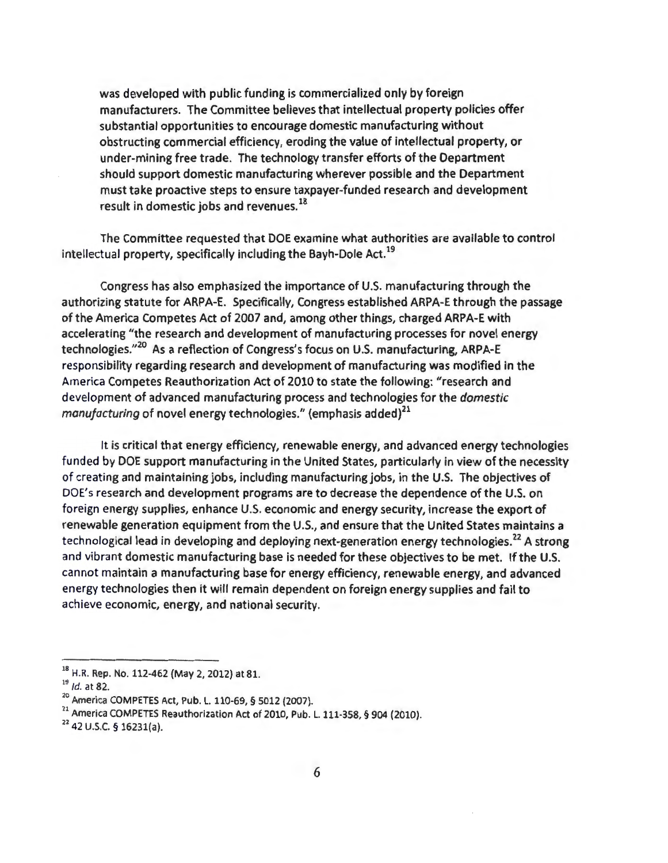was developed with public funding is commercialized only by foreign manufacturers. The Committee believes that intellectual property policies offer substantial opportunities to encourage domestic manufacturing without obstructing commercial efficiency, eroding the value of intellectual property, or under-mining free trade. The technology transfer efforts of the Department should support domestic manufacturing wherever possible and the Department must take proactive steps to ensure taxpayer-funded research and development result in domestic jobs and revenues. 18

The Committee requested that DOE examine what authorities are available to control intellectual property, specifically including the Bayh-Dole Act. 19

Congress has also emphasized the importance of U.S. manufacturing through the authorizing statute for ARPA-E. Specifically, Congress established ARPA-E through the passage of the America Competes Act of 2007 and, among other things, charged ARPA-E with accelerating "the research and development of manufacturing processes for novel energy technologies."<sup>20</sup> As a reflection of Congress's focus on U.S. manufacturing, ARPA-E responsibility regarding research and development of manufacturing was modified in the America Competes Reauthorization Act of 2010 to state the following: "research and development of advanced manufacturing process and technologies for the *domestic manufacturing* of novel energy technologies." (emphasis added)<sup>21</sup>

It is critical that energy efficiency, renewable energy, and advanced energy technologies funded by DOE support manufacturing in the United States, particularly in view of the necessity of creating and maintaining jobs, including manufacturing jobs, in the U.S. The objectives of DOE's research and development programs are to decrease the dependence of the U.S. on foreign energy supplies, enhance U.S. economic and energy security, increase the export of renewable generation equipment from the U.S., and ensure that the United States maintains a technological lead in developing and deploying next-generation energy technologies.<sup>22</sup> A strong and vibrant domestic manufacturing base is needed for these objectives to be met. If the U.S. cannot maintain a manufacturing base for energy efficiency, renewable energy, and advanced energy technologies then it will remain dependent on foreign energy supplies and fail to achieve economic, energy, and national security.

<sup>&</sup>lt;sup>18</sup> H.R. Rep. No. 112-462 (May 2, 2012) at 81.

 $^{19}$  *ld.* at 82.<br><sup>22</sup> America COMPETES Act, Pub. L. 110-69, § 5012 (2007).

<sup>&</sup>lt;sup>21</sup> America COMPETES Reauthorization Act of 2010, Pub. L. 111-358, § 904 (2010). <sup>22</sup>42 U.S.C. § 16231(a).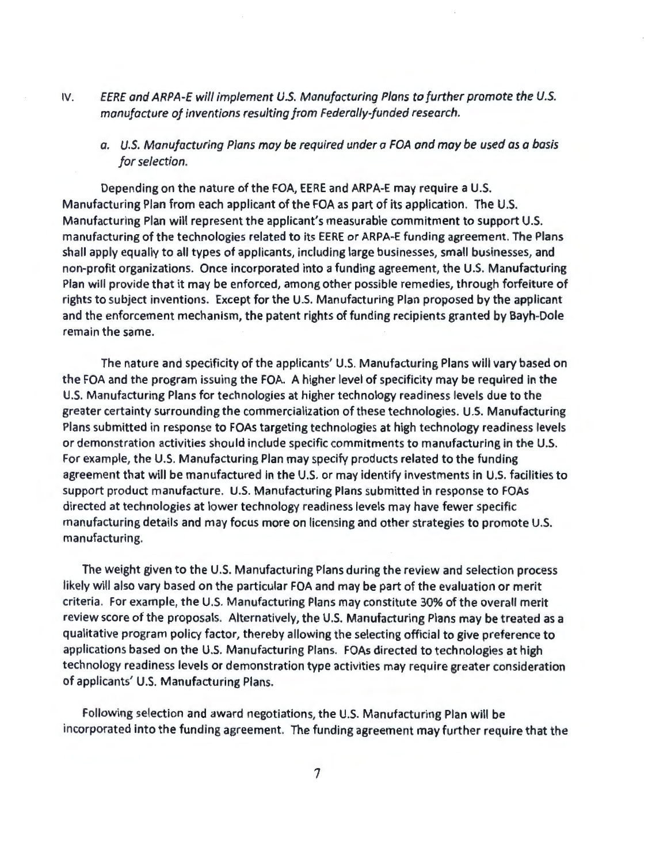IV. *EERE and ARPA-E* will *implement U.S. Manufacturing Plans to further promote the U.S. manufacture of inventions resulting from Federally-funded research.* 

*a. U.S. Manufacturing Plans may be required under a FOA and may be used as a basis for selection.* 

Depending on the nature of the FOA, EERE and ARPA-E may require a U.S. Manufacturing Plan from each applicant of the FOA as part of its application. The U.S. Manufacturing Plan will represent the applicant's measurable commitment to support U.S. manufacturing of the technologies related to its EERE or ARPA-E funding agreement. The Plans shall apply equally to all types of applicants, including large businesses, small businesses, and non-profit organizations. Once incorporated into a funding agreement, the U.S. Manufacturing Plan will provide that it may be enforced, among other possible remedies, through forfeiture of rights to subject inventions. Except for the U.S. Manufacturing Plan proposed by the applicant and the enforcement mechanism, the patent rights of funding recipients granted by Bayh-Dole remain the same.

The nature and specificity of the applicants' U.S. Manufacturing Plans will vary based on the FOA and the program issuing the FOA. A higher level of specificity may be required in the U.S. Manufacturing Plans for technologies at higher technology readiness levels due to the greater certainty surrounding the commercialization of these technologies. U.S. Manufacturing Plans submitted in response to FOAs targeting technologies at high technology readiness levels or demonstration activities should include specific commitments to manufacturing in the U.S. For example, the U.S. Manufacturing Plan may specify products related to the funding agreement that will be manufactured in the U.S. or may identify investments in U.S. facilities to support product manufacture. U.S. Manufacturing Plans submitted in response to FOAs directed at technologies at lower technology readiness levels may have fewer specific manufacturing details and may focus more on licensing and other strategies to promote U.S. manufacturing.

The weight given to the U.S. Manufacturing Plans during the review and selection process likely will also vary based on the particular FOA and may be part of the evaluation or merit criteria. For example, the U.S. Manufacturing Plans may constitute 30% of the overall merit review score of the proposals. Alternatively, the U.S. Manufacturing Plans may be treated as a qualitative program policy factor, thereby allowing the selecting official to give preference to applications based on the U.S. Manufacturing Plans. FOAs directed to technologies at high technology readiness levels or demonstration type activities may require greater consideration of applicants' U.S. Manufacturing Plans.

Following selection and award negotiations, the U.S. Manufacturing Plan will be incorporated into the funding agreement. The funding agreement may further require that the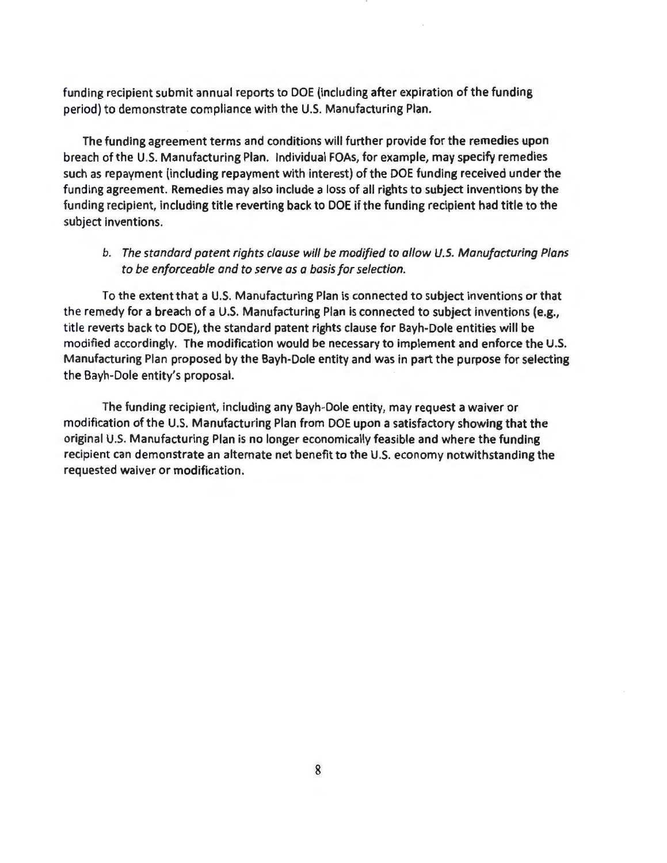funding recipient submit annual reports to DOE (including after expiration of the funding period) to demonstrate compliance with the U.S. Manufacturing Plan.

The funding agreement terms and conditions will further provide for the remedies upon breach of the U.S. Manufacturing Plan. Individual FOAs, for example, may specify remedies such as repayment (including repayment with interest) of the DOE funding received under the funding agreement. Remedies may also include a loss of all rights to subject inventions by the funding recipient, including title reverting back to DOE if the funding recipient had title to the subject inventions.

### *b. The standard patent rights clause will be modified to allow U.S. Manufacturing Plans to be enforceable and to serve as a basis for selection.*

To the extent that a U.S. Manufacturing Plan is connected to subject inventions or that the remedy for a breach of a U.S. Manufacturing Plan is connected to subject inventions (e.g., title reverts back to DOE), the standard patent rights clause for Bayh-Dole entities will be modified accordingly. The modification would be necessary to implement and enforce the U.S. Manufacturing Plan proposed by the Bayh-Dole entity and was in part the purpose for selecting the Bayh-Dole entity's proposal.

The funding recipient, including any Bayh-Dole entity, may request a waiver or modification of the U.S. Manufacturing Plan from DOE upon a satisfactory showing that the original U.S. Manufacturing Plan is no longer economically feasible and where the funding recipient can demonstrate an alternate net benefit to the U.S. economy notwithstanding the requested waiver or modification.